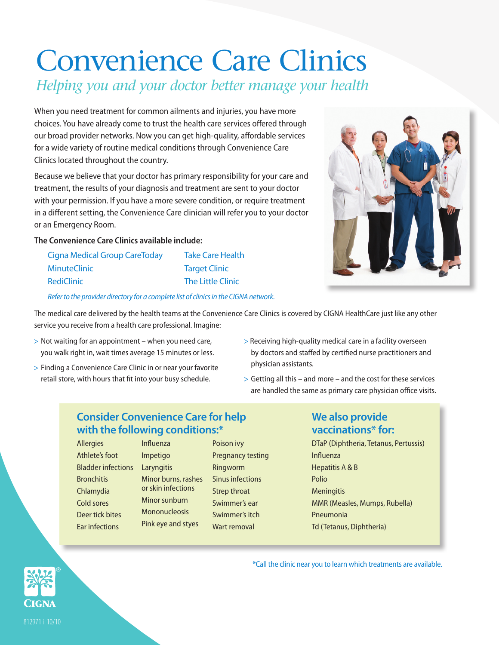# Convenience Care Clinics *Helping you and your doctor better manage your health*

When you need treatment for common ailments and injuries, you have more choices. You have already come to trust the health care services offered through our broad provider networks. Now you can get high-quality, affordable services for a wide variety of routine medical conditions through Convenience Care Clinics located throughout the country.

Because we believe that your doctor has primary responsibility for your care and treatment, the results of your diagnosis and treatment are sent to your doctor with your permission. If you have a more severe condition, or require treatment in a different setting, the Convenience Care clinician will refer you to your doctor or an Emergency Room.

#### **The Convenience Care Clinics available include:**

| <b>Cigna Medical Group CareToday</b> | <b>Take Care Health</b>  |
|--------------------------------------|--------------------------|
| <b>MinuteClinic</b>                  | <b>Target Clinic</b>     |
| RediClinic                           | <b>The Little Clinic</b> |
|                                      |                          |

*Refer to the provider directory for a complete list of clinics in the CIGNA network.*

The medical care delivered by the health teams at the Convenience Care Clinics is covered by CIGNA HealthCare just like any other service you receive from a health care professional. Imagine:

- > Not waiting for an appointment when you need care, you walk right in, wait times average 15 minutes or less.
- > Finding a Convenience Care Clinic in or near your favorite retail store, with hours that fit into your busy schedule.
- > Receiving high-quality medical care in a facility overseen by doctors and staffed by certified nurse practitioners and physician assistants.
- > Getting all this and more and the cost for these services are handled the same as primary care physician office visits.

## **Consider Convenience Care for help with the following conditions:\***

- Allergies Athlete's foot Bladder infections Laryngitis **Bronchitis** Chlamydia Cold sores Deer tick bites Ear infections
- Influenza Impetigo Minor burns, rashes or skin infections Minor sunburn Mononucleosis Pink eye and styes
- Poison ivy Pregnancy testing Ringworm Sinus infections Strep throat Swimmer's ear Swimmer's itch Wart removal

### **We also provide vaccinations\* for:**

\*Call the clinic near you to learn which treatments are available.

DTaP (Diphtheria, Tetanus, Pertussis) Influenza Hepatitis A & B Polio **Meningitis** MMR (Measles, Mumps, Rubella) Pneumonia Td (Tetanus, Diphtheria)